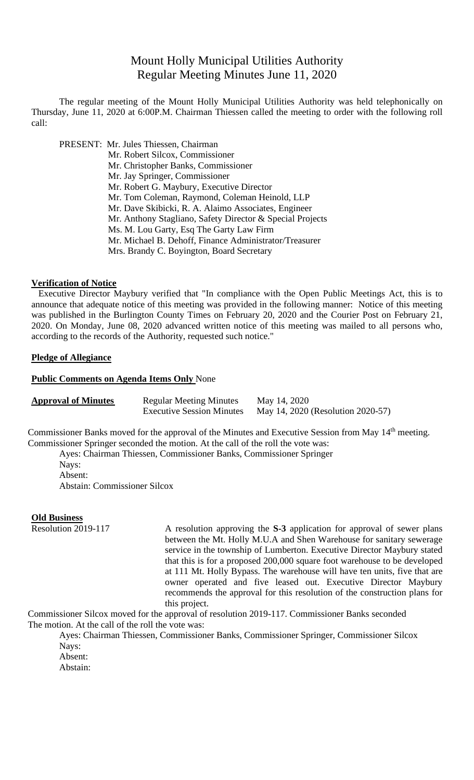# Mount Holly Municipal Utilities Authority Regular Meeting Minutes June 11, 2020

The regular meeting of the Mount Holly Municipal Utilities Authority was held telephonically on Thursday, June 11, 2020 at 6:00P.M. Chairman Thiessen called the meeting to order with the following roll call:

PRESENT: Mr. Jules Thiessen, Chairman

Mr. Robert Silcox, Commissioner Mr. Christopher Banks, Commissioner Mr. Jay Springer, Commissioner Mr. Robert G. Maybury, Executive Director Mr. Tom Coleman, Raymond, Coleman Heinold, LLP Mr. Dave Skibicki, R. A. Alaimo Associates, Engineer Mr. Anthony Stagliano, Safety Director & Special Projects Ms. M. Lou Garty, Esq The Garty Law Firm Mr. Michael B. Dehoff, Finance Administrator/Treasurer Mrs. Brandy C. Boyington, Board Secretary

### **Verification of Notice**

Executive Director Maybury verified that "In compliance with the Open Public Meetings Act, this is to announce that adequate notice of this meeting was provided in the following manner: Notice of this meeting was published in the Burlington County Times on February 20, 2020 and the Courier Post on February 21, 2020. On Monday, June 08, 2020 advanced written notice of this meeting was mailed to all persons who, according to the records of the Authority, requested such notice."

### **Pledge of Allegiance**

### **Public Comments on Agenda Items Only** None

| <b>Approval of Minutes</b> | <b>Regular Meeting Minutes</b>   | May 14, 2020                      |
|----------------------------|----------------------------------|-----------------------------------|
|                            | <b>Executive Session Minutes</b> | May 14, 2020 (Resolution 2020-57) |

Commissioner Banks moved for the approval of the Minutes and Executive Session from May 14th meeting. Commissioner Springer seconded the motion. At the call of the roll the vote was:

Ayes: Chairman Thiessen, Commissioner Banks, Commissioner Springer Nays: Absent: Abstain: Commissioner Silcox

# **Old Business**<br>Resolution 2019-117

A resolution approving the S-3 application for approval of sewer plans between the Mt. Holly M.U.A and Shen Warehouse for sanitary sewerage service in the township of Lumberton. Executive Director Maybury stated that this is for a proposed 200,000 square foot warehouse to be developed at 111 Mt. Holly Bypass. The warehouse will have ten units, five that are owner operated and five leased out. Executive Director Maybury recommends the approval for this resolution of the construction plans for this project.

Commissioner Silcox moved for the approval of resolution 2019-117. Commissioner Banks seconded The motion. At the call of the roll the vote was:

Ayes: Chairman Thiessen, Commissioner Banks, Commissioner Springer, Commissioner Silcox Nays:

Absent:

Abstain: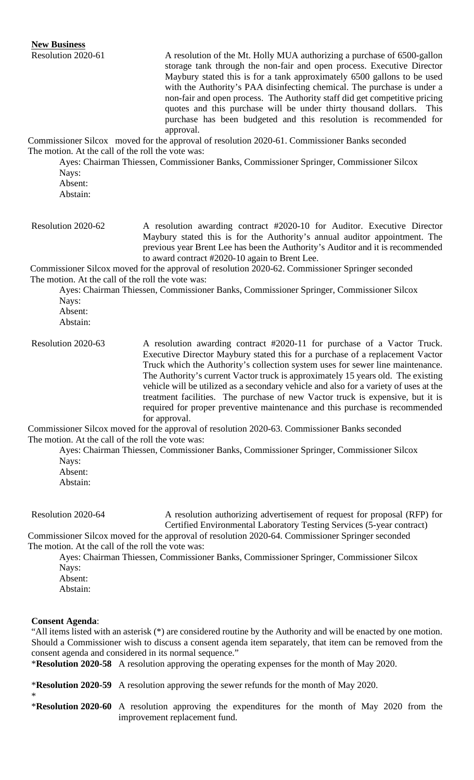Resolution 2020-61 A resolution of the Mt. Holly MUA authorizing a purchase of 6500-gallon storage tank through the non-fair and open process. Executive Director Maybury stated this is for a tank approximately 6500 gallons to be used with the Authority's PAA disinfecting chemical. The purchase is under a non-fair and open process. The Authority staff did get competitive pricing quotes and this purchase will be under thirty thousand dollars. This purchase has been budgeted and this resolution is recommended for approval. Commissioner Silcox moved for the approval of resolution 2020-61. Commissioner Banks seconded The motion. At the call of the roll the vote was: Ayes: Chairman Thiessen, Commissioner Banks, Commissioner Springer, Commissioner Silcox Nays: Absent: Abstain: Resolution 2020-62 A resolution awarding contract #2020-10 for Auditor. Executive Director Maybury stated this is for the Authority's annual auditor appointment. The previous year Brent Lee has been the Authority's Auditor and it is recommended to award contract #2020-10 again to Brent Lee. Commissioner Silcox moved for the approval of resolution 2020-62. Commissioner Springer seconded The motion. At the call of the roll the vote was: Ayes: Chairman Thiessen, Commissioner Banks, Commissioner Springer, Commissioner Silcox Nays: Absent: Abstain: Resolution 2020-63 A resolution awarding contract #2020-11 for purchase of a Vactor Truck. Executive Director Maybury stated this for a purchase of a replacement Vactor Truck which the Authority's collection system uses for sewer line maintenance. The Authority's current Vactor truck is approximately 15 years old. The existing vehicle will be utilized as a secondary vehicle and also for a variety of uses at the treatment facilities. The purchase of new Vactor truck is expensive, but it is required for proper preventive maintenance and this purchase is recommended for approval. Commissioner Silcox moved for the approval of resolution 2020-63. Commissioner Banks seconded The motion. At the call of the roll the vote was: Ayes: Chairman Thiessen, Commissioner Banks, Commissioner Springer, Commissioner Silcox Nays: Absent: Abstain:

Resolution 2020-64 A resolution authorizing advertisement of request for proposal (RFP) for Certified Environmental Laboratory Testing Services (5-year contract)

Commissioner Silcox moved for the approval of resolution 2020-64. Commissioner Springer seconded The motion. At the call of the roll the vote was:

Ayes: Chairman Thiessen, Commissioner Banks, Commissioner Springer, Commissioner Silcox Nays: Absent:

Abstain:

### **Consent Agenda**:

\*

"All items listed with an asterisk (\*) are considered routine by the Authority and will be enacted by one motion. Should a Commissioner wish to discuss a consent agenda item separately, that item can be removed from the consent agenda and considered in its normal sequence."

\***Resolution 2020-58** A resolution approving the operating expenses for the month of May 2020.

\***Resolution 2020-59** A resolution approving the sewer refunds for the month of May 2020.

\***Resolution 2020-60** A resolution approving the expenditures for the month of May 2020 from the improvement replacement fund.